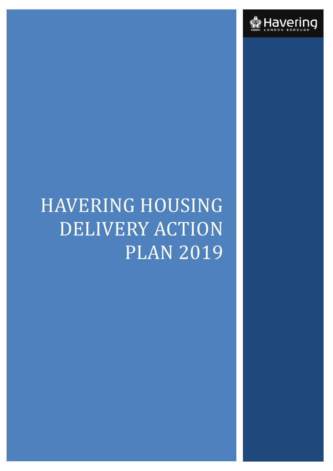

# HAVERING HOUSING DELIVERY ACTION PLAN 2019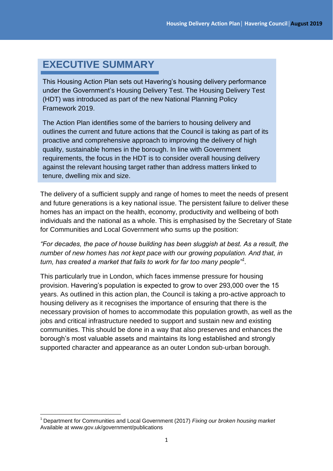# **EXECUTIVE SUMMARY**

This Housing Action Plan sets out Havering's housing delivery performance under the Government's Housing Delivery Test. The Housing Delivery Test (HDT) was introduced as part of the new National Planning Policy Framework 2019.

against the relevant housing target rather than address matters linked to The Action Plan identifies some of the barriers to housing delivery and outlines the current and future actions that the Council is taking as part of its proactive and comprehensive approach to improving the delivery of high quality, sustainable homes in the borough. In line with Government requirements, the focus in the HDT is to consider overall housing delivery tenure, dwelling mix and size.

The delivery of a sufficient supply and range of homes to meet the needs of present and future generations is a key national issue. The persistent failure to deliver these homes has an impact on the health, economy, productivity and wellbeing of both individuals and the national as a whole. This is emphasised by the Secretary of State for Communities and Local Government who sums up the position:

*"For decades, the pace of house building has been sluggish at best. As a result, the number of new homes has not kept pace with our growing population. And that, in turn, has created a market that fails to work for far too many people"<sup>1</sup> .*

This particularly true in London, which faces immense pressure for housing provision. Havering's population is expected to grow to over 293,000 over the 15 years. As outlined in this action plan, the Council is taking a pro-active approach to housing delivery as it recognises the importance of ensuring that there is the necessary provision of homes to accommodate this population growth, as well as the jobs and critical infrastructure needed to support and sustain new and existing communities. This should be done in a way that also preserves and enhances the borough's most valuable assets and maintains its long established and strongly supported character and appearance as an outer London sub-urban borough.

**<sup>.</sup>** <sup>1</sup> Department for Communities and Local Government (2017) *Fixing our broken housing market*  Available at www.gov.uk/government/publications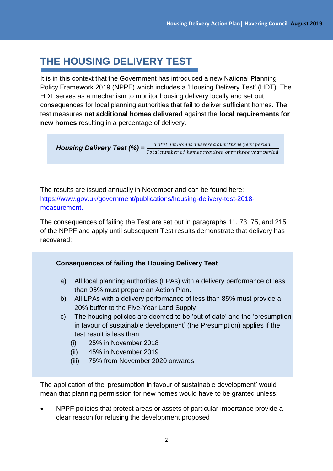# **THE HOUSING DELIVERY TEST**

It is in this context that the Government has introduced a new National Planning Policy Framework 2019 (NPPF) which includes a 'Housing Delivery Test' (HDT). The HDT serves as a mechanism to monitor housing delivery locally and set out consequences for local planning authorities that fail to deliver sufficient homes. The test measures **net additional homes delivered** against the **local requirements for new homes** resulting in a percentage of delivery.

**Housing Delivery Test (%)** =  $\frac{Total\ net\ homes\ delivered\ over\ three\ year\ period}{Total\ number\ of\ homes\ required\ over\ three\ year\ period}$ 

The results are issued annually in November and can be found here: [https://www.gov.uk/government/publications/housing-delivery-test-2018](https://www.gov.uk/government/publications/housing-delivery-test-2018-measurement) [measurement.](https://www.gov.uk/government/publications/housing-delivery-test-2018-measurement)

The consequences of failing the Test are set out in paragraphs 11, 73, 75, and 215 of the NPPF and apply until subsequent Test results demonstrate that delivery has recovered:

#### **Consequences of failing the Housing Delivery Test**

- a) All local planning authorities (LPAs) with a delivery performance of less than 95% must prepare an Action Plan.
- b) All LPAs with a delivery performance of less than 85% must provide a 20% buffer to the Five-Year Land Supply
- c) The housing policies are deemed to be 'out of date' and the 'presumption in favour of sustainable development' (the Presumption) applies if the test result is less than
	- (i) 25% in November 2018
	- (ii) 45% in November 2019
	- (iii) 75% from November 2020 onwards

The application of the 'presumption in favour of sustainable development' would mean that planning permission for new homes would have to be granted unless:

 NPPF policies that protect areas or assets of particular importance provide a clear reason for refusing the development proposed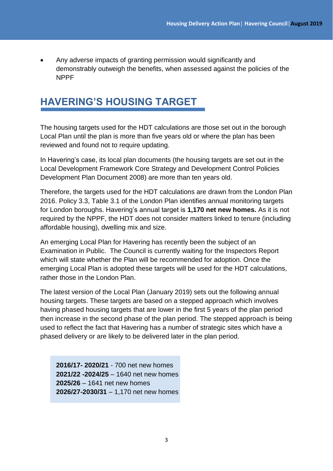Any adverse impacts of granting permission would significantly and demonstrably outweigh the benefits, when assessed against the policies of the NPPF

# **HAVERING'S HOUSING TARGET**

The housing targets used for the HDT calculations are those set out in the borough Local Plan until the plan is more than five years old or where the plan has been reviewed and found not to require updating.

In Havering's case, its local plan documents (the housing targets are set out in the Local Development Framework Core Strategy and Development Control Policies Development Plan Document 2008) are more than ten years old.

Therefore, the targets used for the HDT calculations are drawn from the London Plan 2016. Policy 3.3, Table 3.1 of the London Plan identifies annual monitoring targets for London boroughs. Havering's annual target is **1,170 net new homes.** As it is not required by the NPPF, the HDT does not consider matters linked to tenure (including affordable housing), dwelling mix and size.

An emerging Local Plan for Havering has recently been the subject of an Examination in Public. The Council is currently waiting for the Inspectors Report which will state whether the Plan will be recommended for adoption. Once the emerging Local Plan is adopted these targets will be used for the HDT calculations, rather those in the London Plan.

The latest version of the Local Plan (January 2019) sets out the following annual housing targets. These targets are based on a stepped approach which involves having phased housing targets that are lower in the first 5 years of the plan period then increase in the second phase of the plan period. The stepped approach is being used to reflect the fact that Havering has a number of strategic sites which have a phased delivery or are likely to be delivered later in the plan period.

**2016/17- 2020/21** - 700 net new homes **2021/22 -2024/25** – 1640 net new homes **2025/26** – 1641 net new homes **2026/27-2030/31** – 1,170 net new homes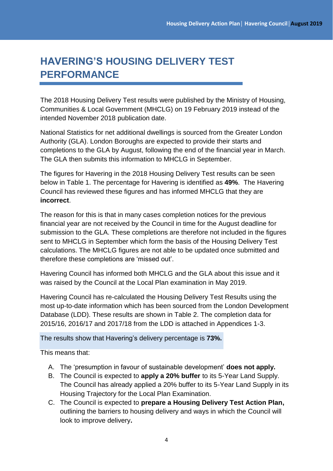# **HAVERING'S HOUSING DELIVERY TEST PERFORMANCE**

The 2018 Housing Delivery Test results were published by the Ministry of Housing, Communities & Local Government (MHCLG) on 19 February 2019 instead of the intended November 2018 publication date.

National Statistics for net additional dwellings is sourced from the Greater London Authority (GLA). London Boroughs are expected to provide their starts and completions to the GLA by August, following the end of the financial year in March. The GLA then submits this information to MHCLG in September.

The figures for Havering in the 2018 Housing Delivery Test results can be seen below in Table 1. The percentage for Havering is identified as **49%**. The Havering Council has reviewed these figures and has informed MHCLG that they are **incorrect**.

The reason for this is that in many cases completion notices for the previous financial year are not received by the Council in time for the August deadline for submission to the GLA. These completions are therefore not included in the figures sent to MHCLG in September which form the basis of the Housing Delivery Test calculations. The MHCLG figures are not able to be updated once submitted and therefore these completions are 'missed out'.

Havering Council has informed both MHCLG and the GLA about this issue and it was raised by the Council at the Local Plan examination in May 2019.

Havering Council has re-calculated the Housing Delivery Test Results using the most up-to-date information which has been sourced from the London Development Database (LDD). These results are shown in Table 2. The completion data for 2015/16, 2016/17 and 2017/18 from the LDD is attached in Appendices 1-3.

The results show that Havering's delivery percentage is **73%.**

This means that:

- A. The 'presumption in favour of sustainable development' **does not apply.**
- B. The Council is expected to **apply a 20% buffer** to its 5-Year Land Supply. The Council has already applied a 20% buffer to its 5-Year Land Supply in its Housing Trajectory for the Local Plan Examination.
- C. The Council is expected to **prepare a Housing Delivery Test Action Plan,**  outlining the barriers to housing delivery and ways in which the Council will look to improve delivery**.**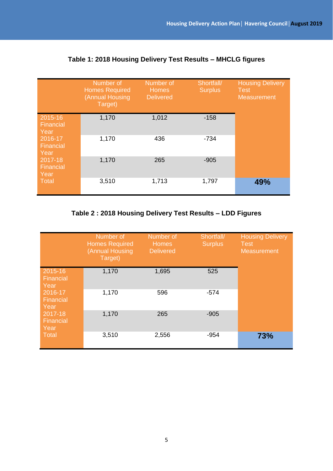|                              | Number of<br><b>Homes Required</b><br>(Annual Housing<br>Target) | Number of<br><b>Homes</b><br><b>Delivered</b> | Shortfall/<br><b>Surplus</b> | <b>Housing Delivery</b><br><b>Test</b><br><b>Measurement</b> |
|------------------------------|------------------------------------------------------------------|-----------------------------------------------|------------------------------|--------------------------------------------------------------|
| 2015-16<br>Financial<br>Year | 1,170                                                            | 1,012                                         | $-158$                       |                                                              |
| 2016-17<br>Financial<br>Year | 1,170                                                            | 436                                           | $-734$                       |                                                              |
| 2017-18<br>Financial<br>Year | 1,170                                                            | 265                                           | $-905$                       |                                                              |
| <b>Total</b>                 | 3,510                                                            | 1,713                                         | 1,797                        | 49%                                                          |

### **Table 1: 2018 Housing Delivery Test Results – MHCLG figures**

## **Table 2 : 2018 Housing Delivery Test Results – LDD Figures**

|                              | Number of<br><b>Homes Required</b><br>(Annual Housing<br>Target) | Number of<br><b>Homes</b><br><b>Delivered</b> | Shortfall/<br><b>Surplus</b> | <b>Housing Delivery</b><br><b>Test</b><br><b>Measurement</b> |
|------------------------------|------------------------------------------------------------------|-----------------------------------------------|------------------------------|--------------------------------------------------------------|
| 2015-16<br>Financial<br>Year | 1,170                                                            | 1,695                                         | 525                          |                                                              |
| 2016-17<br>Financial<br>Year | 1,170                                                            | 596                                           | $-574$                       |                                                              |
| 2017-18<br>Financial<br>Year | 1,170                                                            | 265                                           | $-905$                       |                                                              |
| <b>Total</b>                 | 3,510                                                            | 2,556                                         | $-954$                       | 73%                                                          |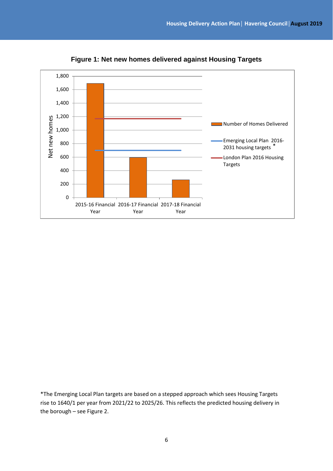

**Figure 1: Net new homes delivered against Housing Targets**

\*The Emerging Local Plan targets are based on a stepped approach which sees Housing Targets rise to 1640/1 per year from 2021/22 to 2025/26. This reflects the predicted housing delivery in the borough – see Figure 2.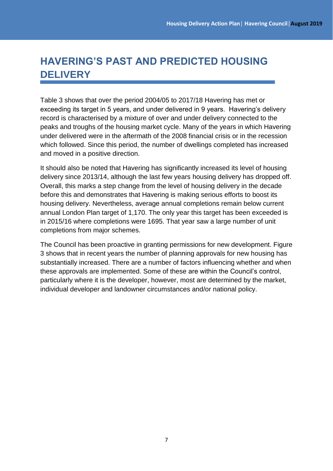# **HAVERING'S PAST AND PREDICTED HOUSING DELIVERY**

Table 3 shows that over the period 2004/05 to 2017/18 Havering has met or exceeding its target in 5 years, and under delivered in 9 years. Havering's delivery record is characterised by a mixture of over and under delivery connected to the peaks and troughs of the housing market cycle. Many of the years in which Havering under delivered were in the aftermath of the 2008 financial crisis or in the recession which followed. Since this period, the number of dwellings completed has increased and moved in a positive direction.

It should also be noted that Havering has significantly increased its level of housing delivery since 2013/14, although the last few years housing delivery has dropped off. Overall, this marks a step change from the level of housing delivery in the decade before this and demonstrates that Havering is making serious efforts to boost its housing delivery. Nevertheless, average annual completions remain below current annual London Plan target of 1,170. The only year this target has been exceeded is in 2015/16 where completions were 1695. That year saw a large number of unit completions from major schemes.

The Council has been proactive in granting permissions for new development. Figure 3 shows that in recent years the number of planning approvals for new housing has substantially increased. There are a number of factors influencing whether and when these approvals are implemented. Some of these are within the Council's control, particularly where it is the developer, however, most are determined by the market, individual developer and landowner circumstances and/or national policy.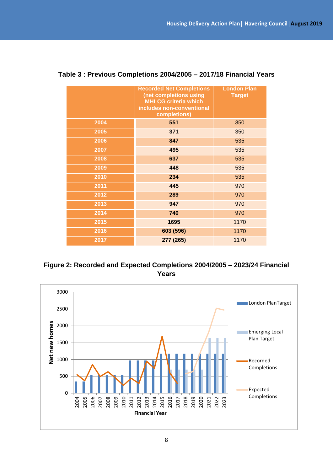|      | <b>Recorded Net Completions</b><br>(net completions using<br><b>MHLCG criteria which</b><br>includes non-conventional<br>completions) | <b>London Plan</b><br><b>Target</b> |
|------|---------------------------------------------------------------------------------------------------------------------------------------|-------------------------------------|
| 2004 | 551                                                                                                                                   | 350                                 |
| 2005 | 371                                                                                                                                   | 350                                 |
| 2006 | 847                                                                                                                                   | 535                                 |
| 2007 | 495                                                                                                                                   | 535                                 |
| 2008 | 637                                                                                                                                   | 535                                 |
| 2009 | 448                                                                                                                                   | 535                                 |
| 2010 | 234                                                                                                                                   | 535                                 |
| 2011 | 445                                                                                                                                   | 970                                 |
| 2012 | 289                                                                                                                                   | 970                                 |
| 2013 | 947                                                                                                                                   | 970                                 |
| 2014 | 740                                                                                                                                   | 970                                 |
| 2015 | 1695                                                                                                                                  | 1170                                |
| 2016 | 603 (596)                                                                                                                             | 1170                                |
| 2017 | 277 (265)                                                                                                                             | 1170                                |

#### **Table 3 : Previous Completions 2004/2005 – 2017/18 Financial Years**



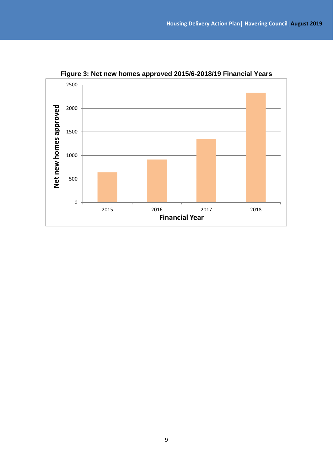

**Figure 3: Net new homes approved 2015/6-2018/19 Financial Years**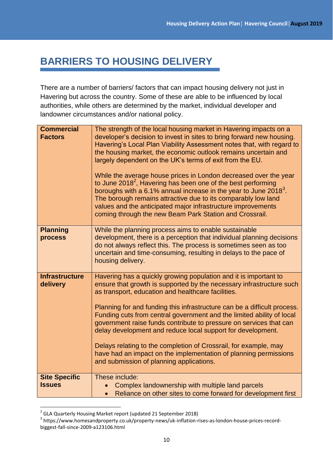# **BARRIERS TO HOUSING DELIVERY**

There are a number of barriers/ factors that can impact housing delivery not just in Havering but across the country. Some of these are able to be influenced by local authorities, while others are determined by the market, individual developer and landowner circumstances and/or national policy.

| <b>Commercial</b><br><b>Factors</b>   | The strength of the local housing market in Havering impacts on a<br>developer's decision to invest in sites to bring forward new housing.<br>Havering's Local Plan Viability Assessment notes that, with regard to<br>the housing market, the economic outlook remains uncertain and<br>largely dependent on the UK's terms of exit from the EU.<br>While the average house prices in London decreased over the year<br>to June 2018 <sup>2</sup> , Havering has been one of the best performing<br>boroughs with a 6.1% annual increase in the year to June 2018 <sup>3</sup> .<br>The borough remains attractive due to its comparably low land<br>values and the anticipated major infrastructure improvements<br>coming through the new Beam Park Station and Crossrail. |
|---------------------------------------|-------------------------------------------------------------------------------------------------------------------------------------------------------------------------------------------------------------------------------------------------------------------------------------------------------------------------------------------------------------------------------------------------------------------------------------------------------------------------------------------------------------------------------------------------------------------------------------------------------------------------------------------------------------------------------------------------------------------------------------------------------------------------------|
| <b>Planning</b><br>process            | While the planning process aims to enable sustainable<br>development, there is a perception that individual planning decisions<br>do not always reflect this. The process is sometimes seen as too<br>uncertain and time-consuming, resulting in delays to the pace of<br>housing delivery.                                                                                                                                                                                                                                                                                                                                                                                                                                                                                   |
| <b>Infrastructure</b><br>delivery     | Havering has a quickly growing population and it is important to<br>ensure that growth is supported by the necessary infrastructure such<br>as transport, education and healthcare facilities.<br>Planning for and funding this infrastructure can be a difficult process.<br>Funding cuts from central government and the limited ability of local<br>government raise funds contribute to pressure on services that can<br>delay development and reduce local support for development.<br>Delays relating to the completion of Crossrail, for example, may<br>have had an impact on the implementation of planning permissions<br>and submission of planning applications.                                                                                                  |
| <b>Site Specific</b><br><b>Issues</b> | These include:<br>Complex landownership with multiple land parcels<br>Reliance on other sites to come forward for development first<br>$\bullet$                                                                                                                                                                                                                                                                                                                                                                                                                                                                                                                                                                                                                              |

 2 GLA Quarterly Housing Market report (updated 21 September 2018)

<sup>&</sup>lt;sup>3</sup> https://www.homesandproperty.co.uk/property-news/uk-inflation-rises-as-london-house-prices-recordbiggest-fall-since-2009-a123106.html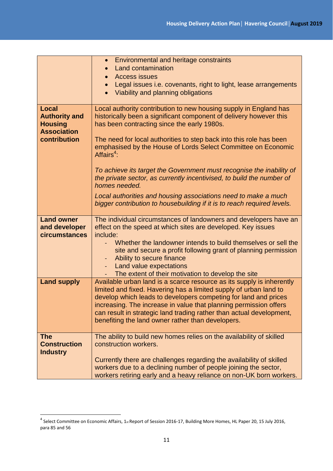|                                                                              | • Environmental and heritage constraints                                                                                                                                                                                                                                                                                                                                                                        |  |  |
|------------------------------------------------------------------------------|-----------------------------------------------------------------------------------------------------------------------------------------------------------------------------------------------------------------------------------------------------------------------------------------------------------------------------------------------------------------------------------------------------------------|--|--|
|                                                                              | <b>Land contamination</b><br><b>Access issues</b>                                                                                                                                                                                                                                                                                                                                                               |  |  |
|                                                                              | Legal issues i.e. covenants, right to light, lease arrangements                                                                                                                                                                                                                                                                                                                                                 |  |  |
|                                                                              | Viability and planning obligations                                                                                                                                                                                                                                                                                                                                                                              |  |  |
|                                                                              |                                                                                                                                                                                                                                                                                                                                                                                                                 |  |  |
| <b>Local</b><br><b>Authority and</b><br><b>Housing</b><br><b>Association</b> | Local authority contribution to new housing supply in England has<br>historically been a significant component of delivery however this<br>has been contracting since the early 1980s.                                                                                                                                                                                                                          |  |  |
| contribution                                                                 | The need for local authorities to step back into this role has been<br>emphasised by the House of Lords Select Committee on Economic<br>Affairs <sup>4</sup> :                                                                                                                                                                                                                                                  |  |  |
|                                                                              | To achieve its target the Government must recognise the inability of<br>the private sector, as currently incentivised, to build the number of<br>homes needed.                                                                                                                                                                                                                                                  |  |  |
|                                                                              | Local authorities and housing associations need to make a much<br>bigger contribution to housebuilding if it is to reach required levels.                                                                                                                                                                                                                                                                       |  |  |
| <b>Land owner</b>                                                            | The individual circumstances of landowners and developers have an                                                                                                                                                                                                                                                                                                                                               |  |  |
| and developer<br>circumstances                                               | effect on the speed at which sites are developed. Key issues<br>include:                                                                                                                                                                                                                                                                                                                                        |  |  |
|                                                                              | Whether the landowner intends to build themselves or sell the<br>site and secure a profit following grant of planning permission<br>Ability to secure finance<br>$\equiv$                                                                                                                                                                                                                                       |  |  |
|                                                                              | Land value expectations                                                                                                                                                                                                                                                                                                                                                                                         |  |  |
|                                                                              | The extent of their motivation to develop the site                                                                                                                                                                                                                                                                                                                                                              |  |  |
| <b>Land supply</b>                                                           | Available urban land is a scarce resource as its supply is inherently<br>limited and fixed. Havering has a limited supply of urban land to<br>develop which leads to developers competing for land and prices<br>increasing. The increase in value that planning permission offers<br>can result in strategic land trading rather than actual development,<br>benefiting the land owner rather than developers. |  |  |
| <b>The</b>                                                                   | The ability to build new homes relies on the availability of skilled                                                                                                                                                                                                                                                                                                                                            |  |  |
| <b>Construction</b>                                                          | construction workers.                                                                                                                                                                                                                                                                                                                                                                                           |  |  |
| <b>Industry</b>                                                              | Currently there are challenges regarding the availability of skilled<br>workers due to a declining number of people joining the sector,<br>workers retiring early and a heavy reliance on non-UK born workers.                                                                                                                                                                                                  |  |  |

 4 Select Committee on Economic Affairs, 1st Report of Session 2016-17, Building More Homes, HL Paper 20, 15 July 2016, para 85 and 56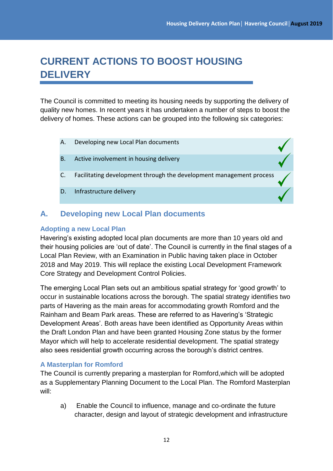$\begin{matrix} \searrow \ \searrow \end{matrix}$ 

# **CURRENT ACTIONS TO BOOST HOUSING DELIVERY**

The Council is committed to meeting its housing needs by supporting the delivery of quality new homes. In recent years it has undertaken a number of steps to boost the delivery of homes. These actions can be grouped into the following six categories:

- A. Developing new Local Plan documents
- B. Active involvement in housing delivery
- C. Facilitating development through the development management process
- D. Infrastructure delivery

## **A. Developing new Local Plan documents**

#### **Adopting a new Local Plan**

Havering's existing adopted local plan documents are more than 10 years old and their housing policies are 'out of date'. The Council is currently in the final stages of a Local Plan Review, with an Examination in Public having taken place in October 2018 and May 2019. This will replace the existing Local Development Framework Core Strategy and Development Control Policies.

The emerging Local Plan sets out an ambitious spatial strategy for 'good growth' to occur in sustainable locations across the borough. The spatial strategy identifies two parts of Havering as the main areas for accommodating growth Romford and the Rainham and Beam Park areas. These are referred to as Havering's 'Strategic Development Areas'. Both areas have been identified as Opportunity Areas within the Draft London Plan and have been granted Housing Zone status by the former Mayor which will help to accelerate residential development. The spatial strategy also sees residential growth occurring across the borough's district centres.

#### **A Masterplan for Romford**

The Council is currently preparing a masterplan for Romford,which will be adopted as a Supplementary Planning Document to the Local Plan. The Romford Masterplan will:

a) Enable the Council to influence, manage and co-ordinate the future character, design and layout of strategic development and infrastructure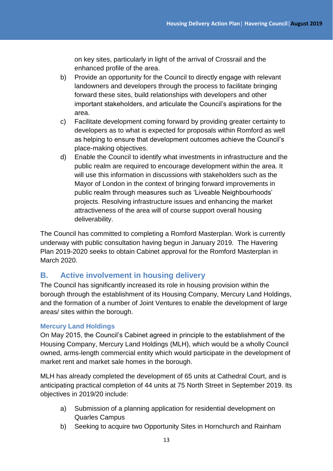on key sites, particularly in light of the arrival of Crossrail and the enhanced profile of the area.

- b) Provide an opportunity for the Council to directly engage with relevant landowners and developers through the process to facilitate bringing forward these sites, build relationships with developers and other important stakeholders, and articulate the Council's aspirations for the area.
- c) Facilitate development coming forward by providing greater certainty to developers as to what is expected for proposals within Romford as well as helping to ensure that development outcomes achieve the Council's place-making objectives.
- d) Enable the Council to identify what investments in infrastructure and the public realm are required to encourage development within the area. It will use this information in discussions with stakeholders such as the Mayor of London in the context of bringing forward improvements in public realm through measures such as 'Liveable Neighbourhoods' projects. Resolving infrastructure issues and enhancing the market attractiveness of the area will of course support overall housing deliverability.

The Council has committed to completing a Romford Masterplan. Work is currently underway with public consultation having begun in January 2019. The Havering Plan 2019-2020 seeks to obtain Cabinet approval for the Romford Masterplan in March 2020.

## **B. Active involvement in housing delivery**

The Council has significantly increased its role in housing provision within the borough through the establishment of its Housing Company, Mercury Land Holdings, and the formation of a number of Joint Ventures to enable the development of large areas/ sites within the borough.

#### **Mercury Land Holdings**

On May 2015, the Council's Cabinet agreed in principle to the establishment of the Housing Company, Mercury Land Holdings (MLH), which would be a wholly Council owned, arms-length commercial entity which would participate in the development of market rent and market sale homes in the borough.

MLH has already completed the development of 65 units at Cathedral Court, and is anticipating practical completion of 44 units at 75 North Street in September 2019. Its objectives in 2019/20 include:

- a) Submission of a planning application for residential development on Quarles Campus
- b) Seeking to acquire two Opportunity Sites in Hornchurch and Rainham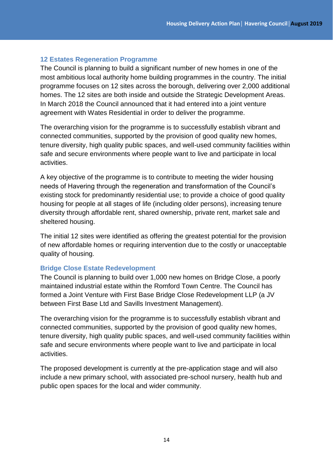#### **12 Estates Regeneration Programme**

The Council is planning to build a significant number of new homes in one of the most ambitious local authority home building programmes in the country. The initial programme focuses on 12 sites across the borough, delivering over 2,000 additional homes. The 12 sites are both inside and outside the Strategic Development Areas. In March 2018 the Council announced that it had entered into a joint venture agreement with Wates Residential in order to deliver the programme.

The overarching vision for the programme is to successfully establish vibrant and connected communities, supported by the provision of good quality new homes, tenure diversity, high quality public spaces, and well-used community facilities within safe and secure environments where people want to live and participate in local activities.

A key objective of the programme is to contribute to meeting the wider housing needs of Havering through the regeneration and transformation of the Council's existing stock for predominantly residential use; to provide a choice of good quality housing for people at all stages of life (including older persons), increasing tenure diversity through affordable rent, shared ownership, private rent, market sale and sheltered housing.

The initial 12 sites were identified as offering the greatest potential for the provision of new affordable homes or requiring intervention due to the costly or unacceptable quality of housing.

#### **Bridge Close Estate Redevelopment**

The Council is planning to build over 1,000 new homes on Bridge Close, a poorly maintained industrial estate within the Romford Town Centre. The Council has formed a Joint Venture with First Base Bridge Close Redevelopment LLP (a JV between First Base Ltd and Savills Investment Management).

The overarching vision for the programme is to successfully establish vibrant and connected communities, supported by the provision of good quality new homes, tenure diversity, high quality public spaces, and well-used community facilities within safe and secure environments where people want to live and participate in local activities.

The proposed development is currently at the pre-application stage and will also include a new primary school, with associated pre-school nursery, health hub and public open spaces for the local and wider community.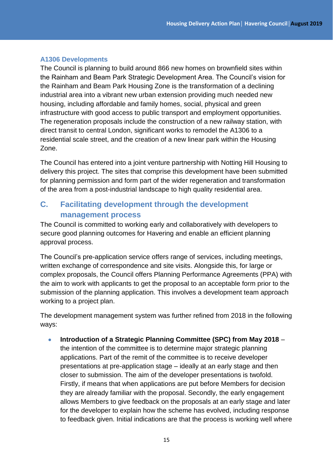#### **A1306 Developments**

The Council is planning to build around 866 new homes on brownfield sites within the Rainham and Beam Park Strategic Development Area. The Council's vision for the Rainham and Beam Park Housing Zone is the transformation of a declining industrial area into a vibrant new urban extension providing much needed new housing, including affordable and family homes, social, physical and green infrastructure with good access to public transport and employment opportunities. The regeneration proposals include the construction of a new railway station, with direct transit to central London, significant works to remodel the A1306 to a residential scale street, and the creation of a new linear park within the Housing Zone.

The Council has entered into a joint venture partnership with Notting Hill Housing to delivery this project. The sites that comprise this development have been submitted for planning permission and form part of the wider regeneration and transformation of the area from a post-industrial landscape to high quality residential area.

# **C. Facilitating development through the development management process**

The Council is committed to working early and collaboratively with developers to secure good planning outcomes for Havering and enable an efficient planning approval process.

The Council's pre-application service offers range of services, including meetings, written exchange of correspondence and site visits. Alongside this, for large or complex proposals, the Council offers Planning Performance Agreements (PPA) with the aim to work with applicants to get the proposal to an acceptable form prior to the submission of the planning application. This involves a development team approach working to a project plan.

The development management system was further refined from 2018 in the following ways:

 **Introduction of a Strategic Planning Committee (SPC) from May 2018** – the intention of the committee is to determine major strategic planning applications. Part of the remit of the committee is to receive developer presentations at pre-application stage – ideally at an early stage and then closer to submission. The aim of the developer presentations is twofold. Firstly, if means that when applications are put before Members for decision they are already familiar with the proposal. Secondly, the early engagement allows Members to give feedback on the proposals at an early stage and later for the developer to explain how the scheme has evolved, including response to feedback given. Initial indications are that the process is working well where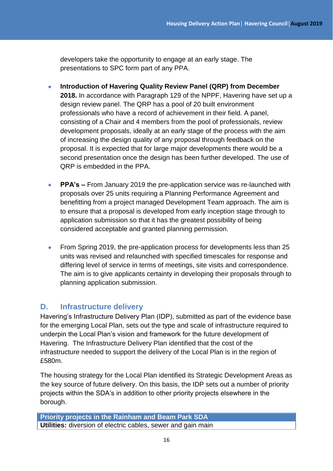developers take the opportunity to engage at an early stage. The presentations to SPC form part of any PPA.

- **Introduction of Havering Quality Review Panel (QRP) from December 2018.** In accordance with Paragraph 129 of the NPPF, Havering have set up a design review panel. The QRP has a pool of 20 built environment professionals who have a record of achievement in their field. A panel, consisting of a Chair and 4 members from the pool of professionals, review development proposals, ideally at an early stage of the process with the aim of increasing the design quality of any proposal through feedback on the proposal. It is expected that for large major developments there would be a second presentation once the design has been further developed. The use of QRP is embedded in the PPA.
- **PPA's –** From January 2019 the pre-application service was re-launched with proposals over 25 units requiring a Planning Performance Agreement and benefitting from a project managed Development Team approach. The aim is to ensure that a proposal is developed from early inception stage through to application submission so that it has the greatest possibility of being considered acceptable and granted planning permission.
- From Spring 2019, the pre-application process for developments less than 25 units was revised and relaunched with specified timescales for response and differing level of service in terms of meetings, site visits and correspondence. The aim is to give applicants certainty in developing their proposals through to planning application submission.

# **D. Infrastructure delivery**

Havering's Infrastructure Delivery Plan (IDP), submitted as part of the evidence base for the emerging Local Plan, sets out the type and scale of infrastructure required to underpin the Local Plan's vision and framework for the future development of Havering. The Infrastructure Delivery Plan identified that the cost of the infrastructure needed to support the delivery of the Local Plan is in the region of £580m.

The housing strategy for the Local Plan identified its Strategic Development Areas as the key source of future delivery. On this basis, the IDP sets out a number of priority projects within the SDA's in addition to other priority projects elsewhere in the borough.

```
Priority projects in the Rainham and Beam Park SDA
Utilities: diversion of electric cables, sewer and gain main
```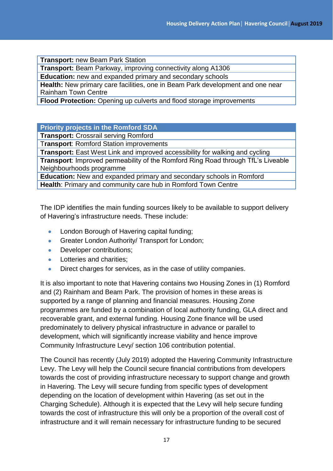**Transport:** new Beam Park Station

**Transport:** Beam Parkway, improving connectivity along A1306

**Education:** new and expanded primary and secondary schools

**Health:** New primary care facilities, one in Beam Park development and one near Rainham Town Centre

**Flood Protection:** Opening up culverts and flood storage improvements

**Priority projects in the Romford SDA**

**Transport:** Crossrail serving Romford

T**ransport**: Romford Station improvements

**Transport:** East West Link and improved accessibility for walking and cycling

**Transport**: Improved permeability of the Romford Ring Road through TfL's Liveable Neighbourhoods programme

**Education:** New and expanded primary and secondary schools in Romford **Health**: Primary and community care hub in Romford Town Centre

The IDP identifies the main funding sources likely to be available to support delivery of Havering's infrastructure needs. These include:

- London Borough of Havering capital funding;
- **Greater London Authority/ Transport for London;**
- Developer contributions;
- Lotteries and charities;
- Direct charges for services, as in the case of utility companies.

It is also important to note that Havering contains two Housing Zones in (1) Romford and (2) Rainham and Beam Park. The provision of homes in these areas is supported by a range of planning and financial measures. Housing Zone programmes are funded by a combination of local authority funding, GLA direct and recoverable grant, and external funding. Housing Zone finance will be used predominately to delivery physical infrastructure in advance or parallel to development, which will significantly increase viability and hence improve Community Infrastructure Levy/ section 106 contribution potential.

The Council has recently (July 2019) adopted the Havering Community Infrastructure Levy. The Levy will help the Council secure financial contributions from developers towards the cost of providing infrastructure necessary to support change and growth in Havering. The Levy will secure funding from specific types of development depending on the location of development within Havering (as set out in the Charging Schedule). Although it is expected that the Levy will help secure funding towards the cost of infrastructure this will only be a proportion of the overall cost of infrastructure and it will remain necessary for infrastructure funding to be secured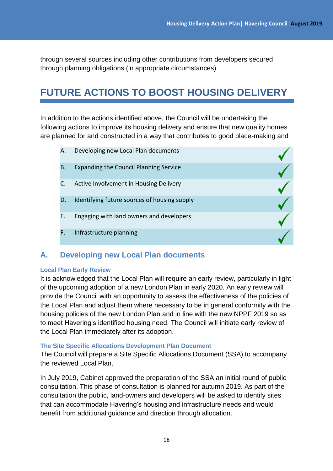through several sources including other contributions from developers secured through planning obligations (in appropriate circumstances)

# **FUTURE ACTIONS TO BOOST HOUSING DELIVERY**

In addition to the actions identified above, the Council will be undertaking the following actions to improve its housing delivery and ensure that new quality homes are planned for and constructed in a way that contributes to good place-making and

|    | Α.        | Developing new Local Plan documents           |  |
|----|-----------|-----------------------------------------------|--|
|    | <b>B.</b> | <b>Expanding the Council Planning Service</b> |  |
|    |           | Active Involvement in Housing Delivery        |  |
|    | D.        | Identifying future sources of housing supply  |  |
|    | Е.        | Engaging with land owners and developers      |  |
| F. |           | Infrastructure planning                       |  |

### **A. Developing new Local Plan documents**

#### **Local Plan Early Review**

It is acknowledged that the Local Plan will require an early review, particularly in light of the upcoming adoption of a new London Plan in early 2020. An early review will provide the Council with an opportunity to assess the effectiveness of the policies of the Local Plan and adjust them where necessary to be in general conformity with the housing policies of the new London Plan and in line with the new NPPF 2019 so as to meet Havering's identified housing need. The Council will initiate early review of the Local Plan immediately after its adoption.

#### **The Site Specific Allocations Development Plan Document**

The Council will prepare a Site Specific Allocations Document (SSA) to accompany the reviewed Local Plan.

In July 2019, Cabinet approved the preparation of the SSA an initial round of public consultation. This phase of consultation is planned for autumn 2019. As part of the consultation the public, land-owners and developers will be asked to identify sites that can accommodate Havering's housing and infrastructure needs and would benefit from additional guidance and direction through allocation.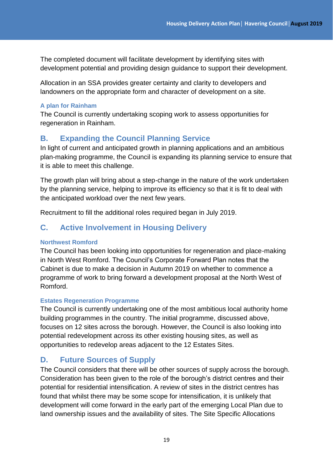The completed document will facilitate development by identifying sites with development potential and providing design guidance to support their development.

Allocation in an SSA provides greater certainty and clarity to developers and landowners on the appropriate form and character of development on a site.

#### **A plan for Rainham**

The Council is currently undertaking scoping work to assess opportunities for regeneration in Rainham.

# **B. Expanding the Council Planning Service**

In light of current and anticipated growth in planning applications and an ambitious plan-making programme, the Council is expanding its planning service to ensure that it is able to meet this challenge.

The growth plan will bring about a step-change in the nature of the work undertaken by the planning service, helping to improve its efficiency so that it is fit to deal with the anticipated workload over the next few years.

Recruitment to fill the additional roles required began in July 2019.

# **C. Active Involvement in Housing Delivery**

#### **Northwest Romford**

The Council has been looking into opportunities for regeneration and place-making in North West Romford. The Council's Corporate Forward Plan notes that the Cabinet is due to make a decision in Autumn 2019 on whether to commence a programme of work to bring forward a development proposal at the North West of Romford.

#### **Estates Regeneration Programme**

The Council is currently undertaking one of the most ambitious local authority home building programmes in the country. The initial programme, discussed above, focuses on 12 sites across the borough. However, the Council is also looking into potential redevelopment across its other existing housing sites, as well as opportunities to redevelop areas adjacent to the 12 Estates Sites.

## **D. Future Sources of Supply**

The Council considers that there will be other sources of supply across the borough. Consideration has been given to the role of the borough's district centres and their potential for residential intensification. A review of sites in the district centres has found that whilst there may be some scope for intensification, it is unlikely that development will come forward in the early part of the emerging Local Plan due to land ownership issues and the availability of sites. The Site Specific Allocations